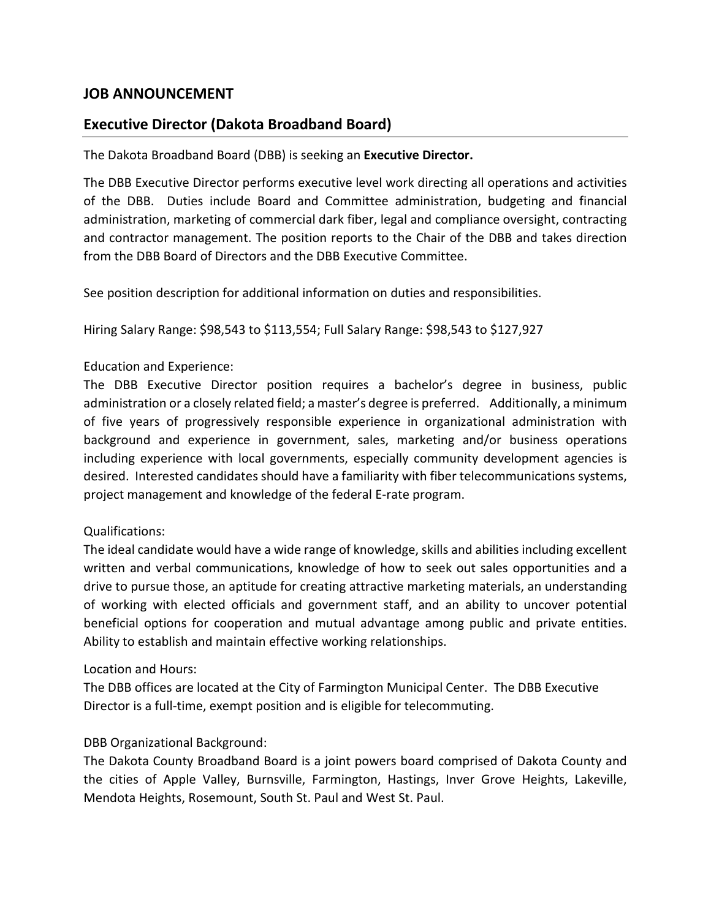# **JOB ANNOUNCEMENT**

# **Executive Director (Dakota Broadband Board)**

The Dakota Broadband Board (DBB) is seeking an **Executive Director.** 

The DBB Executive Director performs executive level work directing all operations and activities of the DBB. Duties include Board and Committee administration, budgeting and financial administration, marketing of commercial dark fiber, legal and compliance oversight, contracting and contractor management. The position reports to the Chair of the DBB and takes direction from the DBB Board of Directors and the DBB Executive Committee.

See position description for additional information on duties and responsibilities.

Hiring Salary Range: \$98,543 to \$113,554; Full Salary Range: \$98,543 to \$127,927

### Education and Experience:

The DBB Executive Director position requires a bachelor's degree in business, public administration or a closely related field; a master's degree is preferred. Additionally, a minimum of five years of progressively responsible experience in organizational administration with background and experience in government, sales, marketing and/or business operations including experience with local governments, especially community development agencies is desired. Interested candidates should have a familiarity with fiber telecommunications systems, project management and knowledge of the federal E-rate program.

### Qualifications:

The ideal candidate would have a wide range of knowledge, skills and abilities including excellent written and verbal communications, knowledge of how to seek out sales opportunities and a drive to pursue those, an aptitude for creating attractive marketing materials, an understanding of working with elected officials and government staff, and an ability to uncover potential beneficial options for cooperation and mutual advantage among public and private entities. Ability to establish and maintain effective working relationships.

#### Location and Hours:

The DBB offices are located at the City of Farmington Municipal Center. The DBB Executive Director is a full-time, exempt position and is eligible for telecommuting.

### DBB Organizational Background:

The Dakota County Broadband Board is a joint powers board comprised of Dakota County and the cities of Apple Valley, Burnsville, Farmington, Hastings, Inver Grove Heights, Lakeville, Mendota Heights, Rosemount, South St. Paul and West St. Paul.